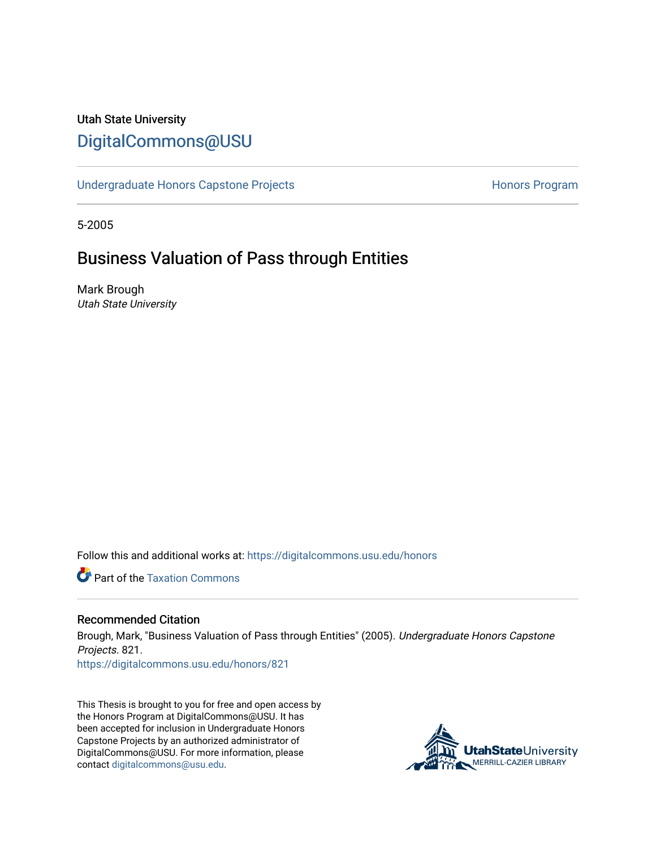# Utah State University [DigitalCommons@USU](https://digitalcommons.usu.edu/)

[Undergraduate Honors Capstone Projects](https://digitalcommons.usu.edu/honors) **Honors Program** Honors Program

5-2005

# Business Valuation of Pass through Entities

Mark Brough Utah State University

Follow this and additional works at: [https://digitalcommons.usu.edu/honors](https://digitalcommons.usu.edu/honors?utm_source=digitalcommons.usu.edu%2Fhonors%2F821&utm_medium=PDF&utm_campaign=PDFCoverPages)

**C** Part of the Taxation Commons

#### Recommended Citation

Brough, Mark, "Business Valuation of Pass through Entities" (2005). Undergraduate Honors Capstone Projects. 821.

[https://digitalcommons.usu.edu/honors/821](https://digitalcommons.usu.edu/honors/821?utm_source=digitalcommons.usu.edu%2Fhonors%2F821&utm_medium=PDF&utm_campaign=PDFCoverPages)

This Thesis is brought to you for free and open access by the Honors Program at DigitalCommons@USU. It has been accepted for inclusion in Undergraduate Honors Capstone Projects by an authorized administrator of DigitalCommons@USU. For more information, please contact [digitalcommons@usu.edu](mailto:digitalcommons@usu.edu).

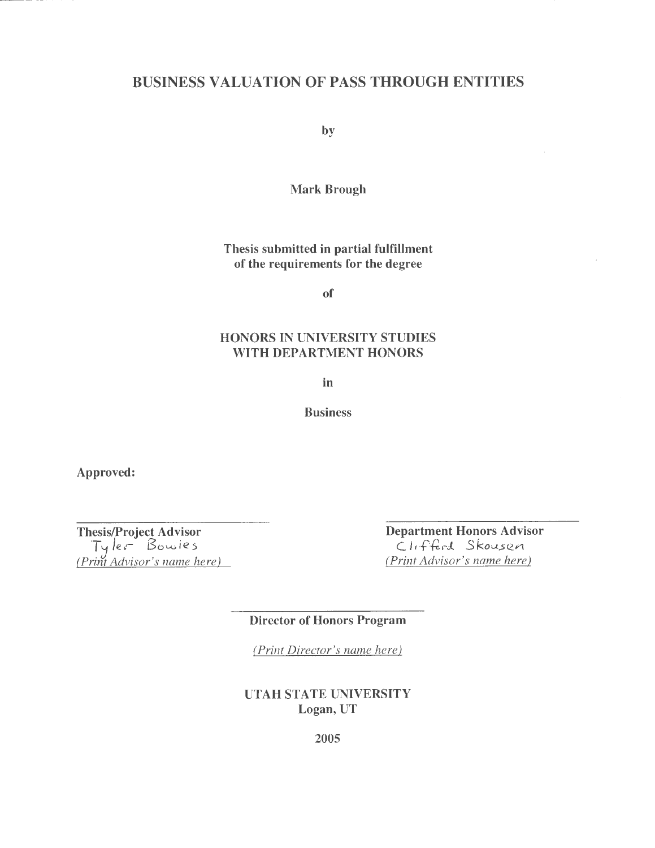## BUSINESS VALUATION OF PASS THROUGH ENTITIES

by

Mark Brough

Thesis submitted in partial fulfillment of the requirements for the degree

of

#### **HONORS IN UNIVERSITY STUDIES WITH DEPARTMENT HONORS**

**in** 

**Business** 

**Approved:** 

**Thesis/Project Advisor**  TJ */er /3c,wie.s (Print Advisor's name here)*  **Department Honors Advisor**   $C$ *I*, fferd Skousen *(Print Advisor's name here)* 

**Director of Honors Program** 

*(Print Director's name here)* 

**UTAH STATE UNIVERSITY Logan, UT**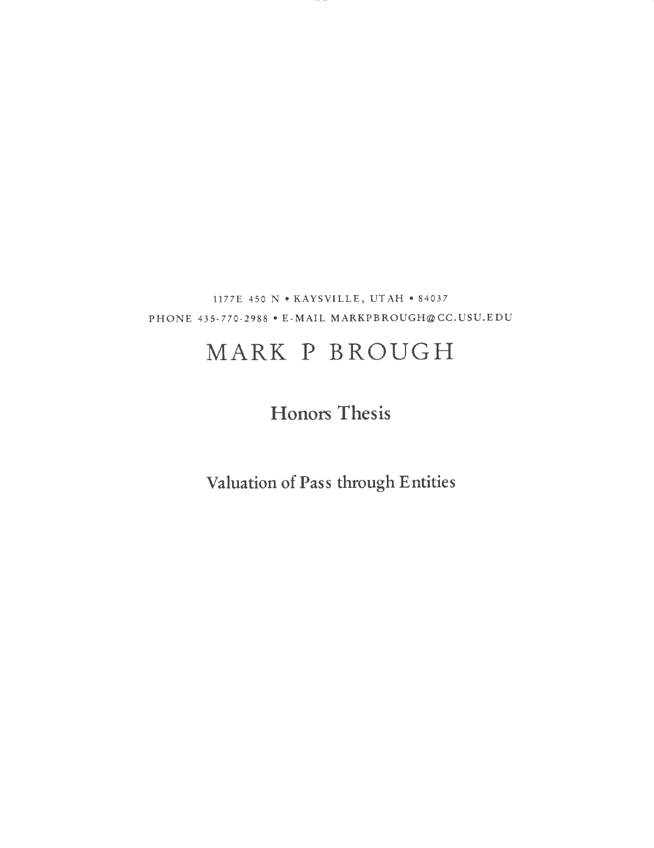1177E 450 N • KAYSVILLE, UT AH• 84037 PHONE 435- 770-2988 • E-MAIL MARKPBROUGH@CC. USU.EDU

# **MARK P BROUGH**

# **Honors Thesis**

**Valuation of Pass through Entities**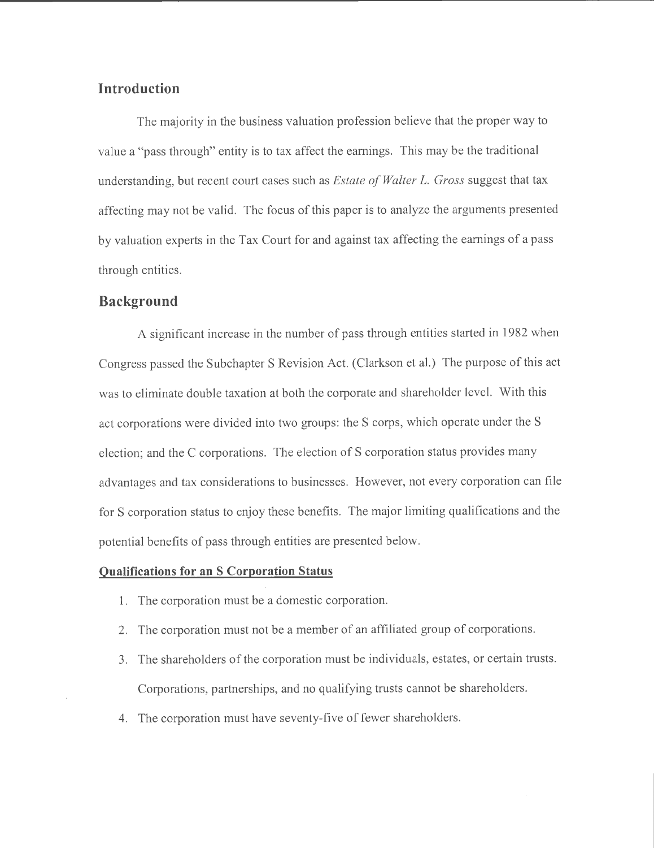### **Introduction**

The majority in the business valuation profession believe that the proper way to value a "pass through" entity is to tax affect the earnings. This may be the traditional understanding, but recent court cases such as *Estate of Walter L. Gross* suggest that tax affecting may not be valid. The focus of this paper is to analyze the arguments presented by valuation experts in the Tax Court for and against tax affecting the earnings of a pass through entities.

#### **Background**

A significant increase in the number of pass through entities started in 1982 when Congress passed the Subchapter S Revision Act. (Clarkson et al.) The purpose of this act was to eliminate double taxation at both the corporate and shareholder level. With this act corporations were divided into two groups: the S corps, which operate under the S election; and the C corporations. The election of S corporation status provides many advantages and tax considerations to businesses. However, not every corporation can file for S corporation status to enjoy these benefits. The major limiting qualifications and the potential benefits of pass through entities are presented below.

#### **Qualifications for an S Corporation Status**

- 1. The corporation must be a domestic corporation.
- 2. The corporation must not be a member of an affiliated group of corporations.
- 3. The shareholders of the corporation must be individuals, estates, or certain trusts. Corporations, partnerships, and no qualifying trusts cannot be shareholders.
- 4. The corporation must have seventy-five of fewer shareholders.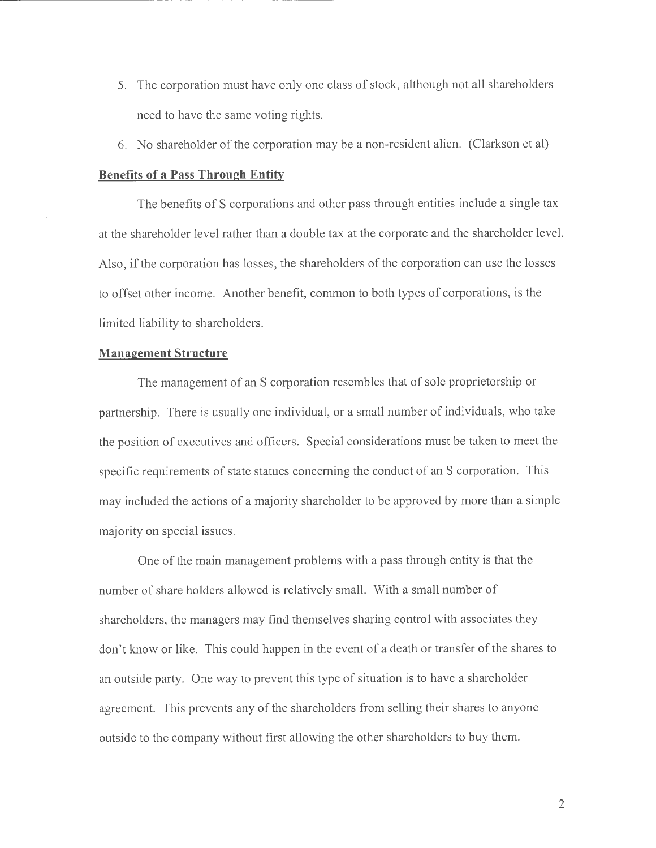- 5. The corporation must have only one class of stock, although not all shareholders need to have the same voting rights.
- 6. No shareholder of the corporation may be a non-resident alien. (Clarkson et al)

#### **Benefits of a Pass Through Entity**

The benefits of S corporations and other pass through entities include a single tax at the shareholder level rather than a double tax at the corporate and the shareholder level. Also, if the corporation has losses, the shareholders of the corporation can use the losses to offset other income. Another benefit, common to both types of corporations, is the limited liability to shareholders.

#### **Management Structure**

The management of an S corporation resembles that of sole proprietorship or partnership. There is usually one individual, or a small number of individuals, who take the position of executives and officers. Special considerations must be taken to meet the specific requirements of state statues concerning the conduct of an S corporation. This may included the actions of a majority shareholder to be approved by more than a simple majority on special issues.

One of the main management problems with a pass through entity is that the number of share holders allowed is relatively small. With a small number of shareholders, the managers may find themselves sharing control with associates they don't know or like. This could happen in the event of a death or transfer of the shares to an outside party. One way to prevent this type of situation is to have a shareholder agreement. This prevents any of the shareholders from selling their shares to anyone outside to the company without first allowing the other shareholders to buy them.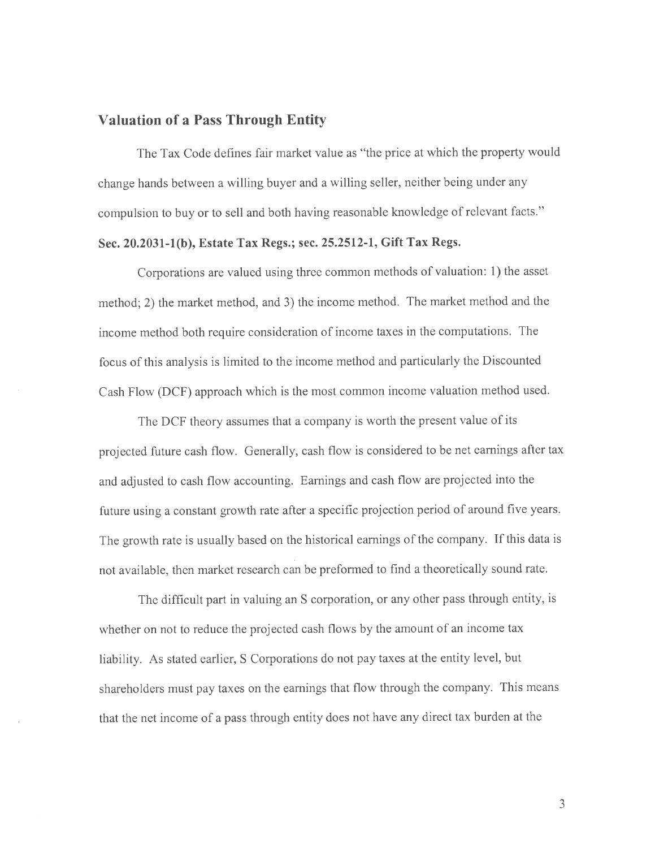#### **Valuation of a Pass Through Entity**

The Tax Code defines fair market value as "the price at which the property would change hands between a willing buyer and a willing seller, neither being under any compulsion to buy or to sell and both having reasonable knowledge of relevant facts."

#### **Sec. 20.2031-l(b), Estate Tax Regs.; sec. 25.2512-1, Gift Tax Regs.**

Corporations are valued using three common methods of valuation: **1)** the asset method; 2) the market method, and 3) the income method. The market method and the income method both require consideration of income taxes in the computations. The focus of this analysis is limited to the income method and particularly the Discounted Cash Flow (DCF) approach which is the most common income valuation method used.

The DCF theory assumes that a company is worth the present value of its projected future cash flow. Generally, cash flow is considered to be net earnings after tax and adjusted to cash flow accounting. Earnings and cash flow are projected into the future using a constant growth rate after a specific projection period of around five years. The growth rate is usually based on the historical earnings of the company. If this data is not available, then market research can be preformed to find a theoretically sound rate.

The difficult part in valuing an S corporation, or any other pass through entity, is whether on not to reduce the projected cash flows by the amount of an income tax liability. As stated earlier, S Corporations do not pay taxes at the entity level, but shareholders must pay taxes on the earnings that flow through the company. This means that the net income of a pass through entity does not have any direct tax burden at the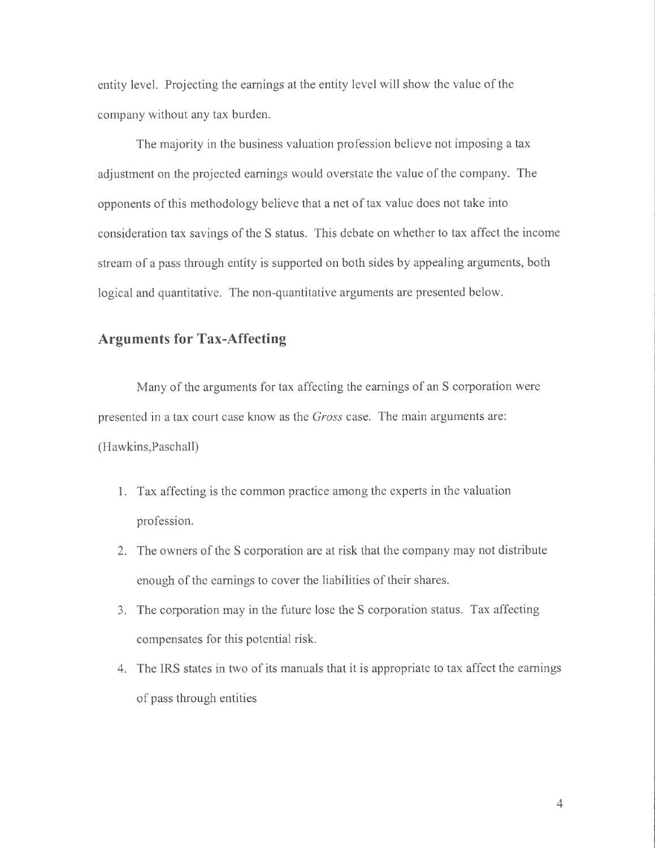entity level. Projecting the earnings at the entity level will show the value of the company without any tax burden.

The majority in the business valuation profession believe not imposing a tax adjustment on the projected earnings would overstate the value of the company. The opponents of this methodology believe that a net of tax value does not take into consideration tax savings of the S status. This debate on whether to tax affect the income stream of a pass through entity is supported on both sides by appealing arguments, both logical and quantitative. The non-quantitative arguments are presented below.

### **Arguments for Tax-Affecting**

Many of the arguments for tax affecting the earnings of an S corporation were presented in a tax court case know as the *Gross* case. The main arguments are: (Hawkins,Paschall)

- 1. Tax affecting is the common practice among the experts in the valuation profession.
- 2. The owners of the S corporation are at risk that the company may not distribute enough of the earnings to cover the liabilities of their shares.
- 3. The corporation may in the future lose the S corporation status. Tax affecting compensates for this potential risk.
- 4. The IRS states in two of its manuals that it is appropriate to tax affect the earnings of pass through entities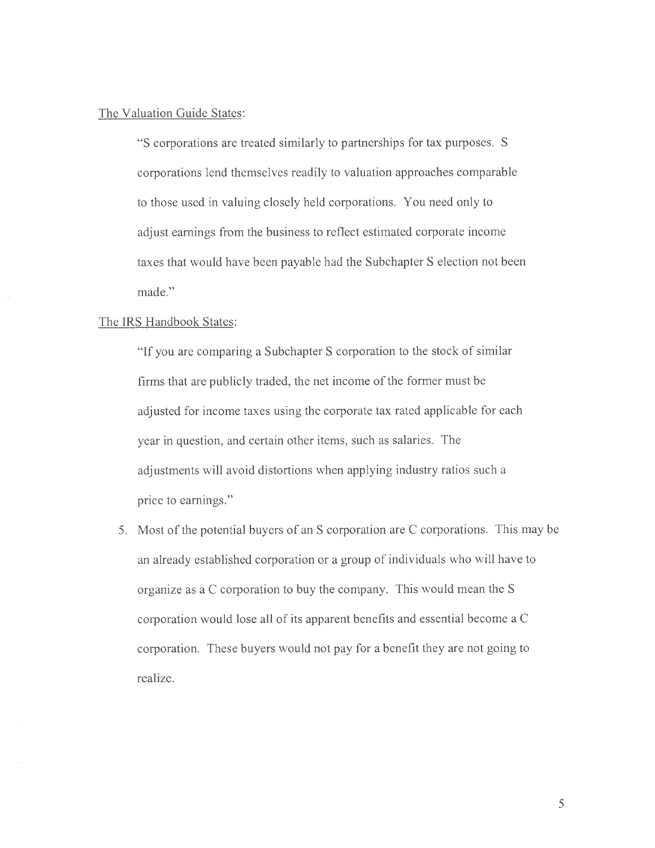#### The Valuation Guide States:

"S corporations are treated similarly to partnerships for tax purposes. S corporations lend themselves readily to valuation approaches comparable to those used in valuing closely held corporations. You need only to adjust earnings from the business to reflect estimated corporate income taxes that would have been payable had the Subchapter S election not been made."

#### The IRS Handbook States:

"If you are comparing a Subchapter S corporation to the stock of similar firms that are publicly traded, the net income of the former must be adjusted for income taxes using the corporate tax rated applicable for each year in question, and certain other items, such as salaries. The adjustments will avoid distortions when applying industry ratios such a price to earnings."

5. Most of the potential buyers of an S corporation are C corporations. This may be an already established corporation or a group of individuals who will have to organize as a C corporation to buy the company. This would mean the S corporation would lose all of its apparent benefits and essential become a C corporation. These buyers would not pay for a benefit they are not going to realize.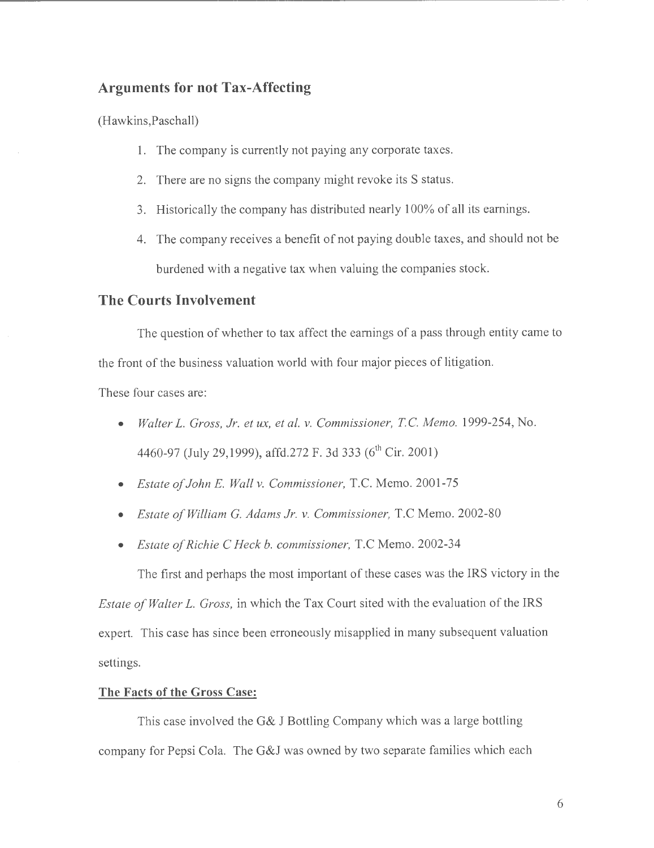## **Arguments for not Tax-Affecting**

(Hawkins,Paschall)

- 1. The company is currently not paying any corporate taxes.
- 2. There are no signs the company might revoke its S status.
- 3. Historically the company has distributed nearly 100% of all its earnings.
- 4. The company receives a benefit of not paying double taxes, and should not be burdened with a negative tax when valuing the companies stock.

#### **The Courts Involvement**

The question of whether to tax affect the earnings of a pass through entity came to the front of the business valuation world with four major pieces of litigation.

These four cases are:

- *Walter* L. *Gross, Jr. et ux, et al. v. Commissioner, TC Memo.* 1999-254, No. 4460-97 (July 29,1999), affd.272 F. 3d 333 (6<sup>th</sup> Cir. 2001)
- *Estate of John* E. *Wall v. Commissioner,* T.C. Memo. 2001-75
- *Estate of William G. Adams Jr. v. Commissioner,* T.C Memo. 2002-80
- *Estate of Richie* C *Heck b. commissioner,* T.C Memo. 2002-34

The first and perhaps the most important of these cases was the IRS victory in the *Estate of Walter* L. *Gross,* in which the Tax Court sited with the evaluation of the IRS expert. This case has since been erroneously misapplied in many subsequent valuation settings.

#### **The Facts of the Gross Case:**

This case involved the G& J Bottling Company which was a large bottling company for Pepsi Cola. The G&J was owned by two separate families which each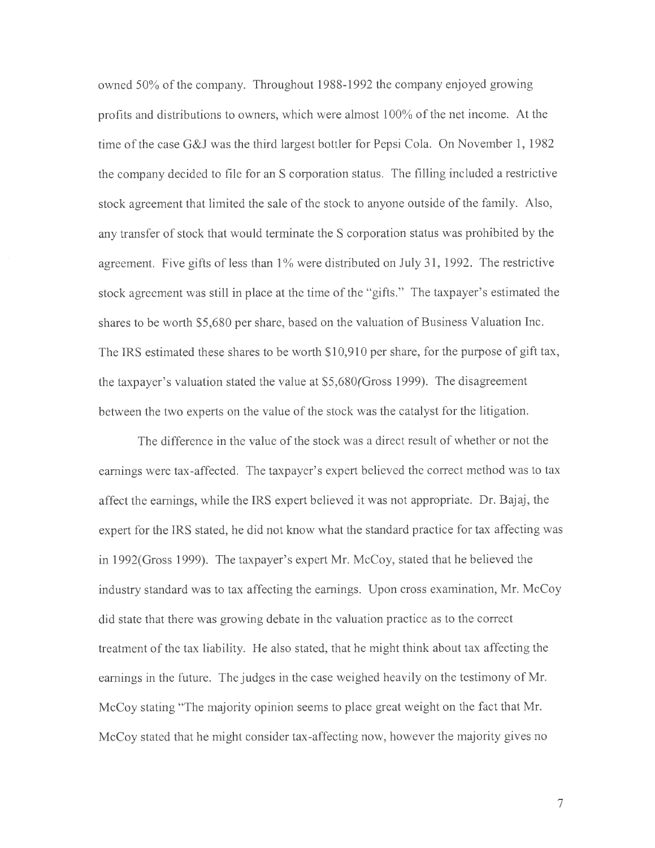owned 50% of the company. Throughout 1988-1992 the company enjoyed growing profits and distributions to owners, which were almost 100% of the net income. At the time of the case G&J was the third largest bottler for Pepsi Cola. On November 1, 1982 the company decided to file for an S corporation status. The filling included a restrictive stock agreement that limited the sale of the stock to anyone outside of the family. Also, any transfer of stock that would terminate the S corporation status was prohibited by the agreement. Five gifts of less than 1% were distributed on July 31, 1992. The restrictive stock agreement was still in place at the time of the "gifts." The taxpayer's estimated the shares to be worth \$5,680 per share, based on the valuation of Business Valuation Inc. The IRS estimated these shares to be worth \$10,910 per share, for the purpose of gift tax, the taxpayer's valuation stated the value at \$5,680(Gross 1999). The disagreement between the two experts on the value of the stock was the catalyst for the litigation.

The difference in the value of the stock was a direct result of whether or not the earnings were tax-affected. The taxpayer's expert believed the correct method was to tax affect the earnings, while the IRS expert believed it was not appropriate. Dr. Bajaj, the expert for the IRS stated, he did not know what the standard practice for tax affecting was in l 992(Gross 1999). The taxpayer's expert Mr. McCoy, stated that he believed the industry standard was to tax affecting the earnings. Upon cross examination, Mr. McCoy did state that there was growing debate in the valuation practice as to the correct treatment of the tax liability. He also stated, that he might think about tax affecting the earnings in the future. The judges in the case weighed heavily on the testimony of Mr. McCoy stating "The majority opinion seems to place great weight on the fact that Mr. McCoy stated that he might consider tax-affecting now, however the majority gives no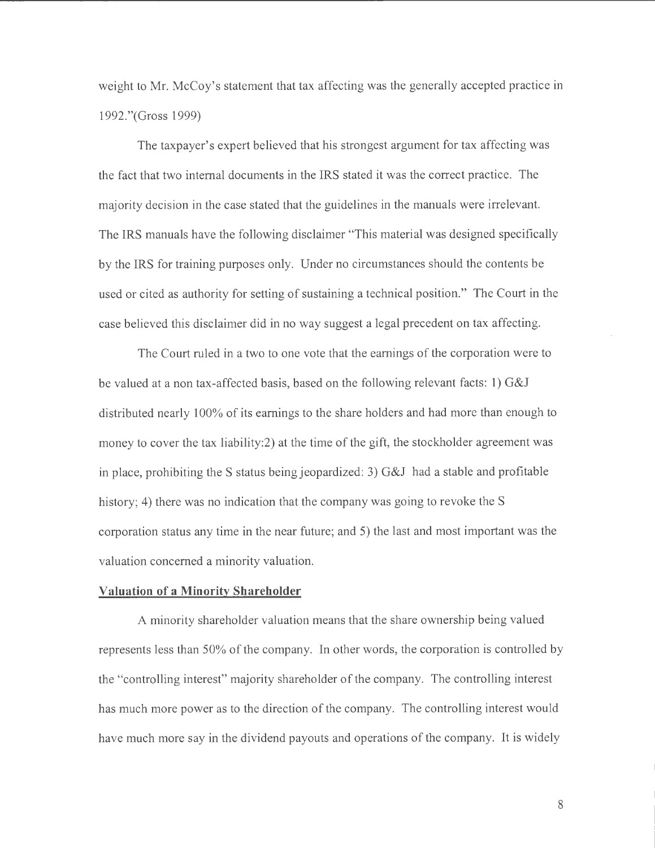weight to Mr. McCoy's statement that tax affecting was the generally accepted practice in 1992."(Gross 1999)

The taxpayer's expert believed that his strongest argument for tax affecting was the fact that two internal documents in the IRS stated it was the correct practice. The majority decision in the case stated that the guidelines in the manuals were irrelevant. The IRS manuals have the following disclaimer "This material was designed specifically by the IRS for training purposes only. Under no circumstances should the contents be used or cited as authority for setting of sustaining a technical position." The Court in the case believed this disclaimer did in no way suggest a legal precedent on tax affecting.

The Court ruled in a two to one vote that the earnings of the corporation were to be valued at a non tax-affected basis, based on the following relevant facts: 1) G&J distributed nearly 100% of its earnings to the share holders and had more than enough to money to cover the tax liability:2) at the time of the gift, the stockholder agreement was in place, prohibiting the S status being jeopardized: 3) G&J had a stable and profitable history; 4) there was no indication that the company was going to revoke the S corporation status any time in the near future; and 5) the last and most important was the valuation concerned a minority valuation.

#### **Valuation of a Minority Shareholder**

A minority shareholder valuation means that the share ownership being valued represents less than 50% of the company. In other words, the corporation is controlled by the "controlling interest" majority shareholder of the company. The controlling interest has much more power as to the direction of the company. The controlling interest would have much more say in the dividend payouts and operations of the company. It is widely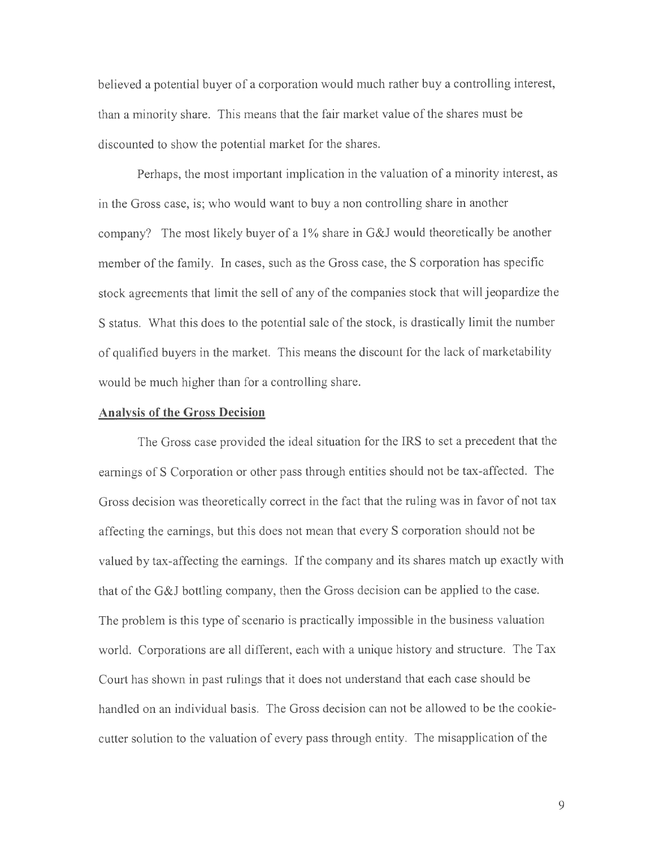believed a potential buyer of a corporation would much rather buy a controlling interest, than a minority share. This means that the fair market value of the shares must be discounted to show the potential market for the shares.

Perhaps, the most important implication in the valuation of a minority interest, as in the Gross case, is; who would want to buy a non controlling share in another company? The most likely buyer of a 1% share in G&J would theoretically be another member of the family. In cases, such as the Gross case, the S corporation has specific stock agreements that limit the sell of any of the companies stock that will jeopardize the S status. What this does to the potential sale of the stock, is drastically limit the number of qualified buyers in the market. This means the discount for the lack of marketability would be much higher than for a controlling share.

#### **Analysis of the Gross Decision**

The Gross case provided the ideal situation for the IRS to set a precedent that the earnings of S Corporation or other pass through entities should not be tax-affected. The Gross decision was theoretically correct in the fact that the ruling was in favor of not tax affecting the earnings, but this does not mean that every S corporation should not be valued by tax-affecting the earnings. If the company and its shares match up exactly with that of the G&J bottling company, then the Gross decision can be applied to the case. The problem is this type of scenario is practically impossible in the business valuation world. Corporations are all different, each with a unique history and structure. The Tax Court has shown in past rulings that it does not understand that each case should be handled on an individual basis. The Gross decision can not be allowed to be the cookiecutter solution to the valuation of every pass through entity. The misapplication of the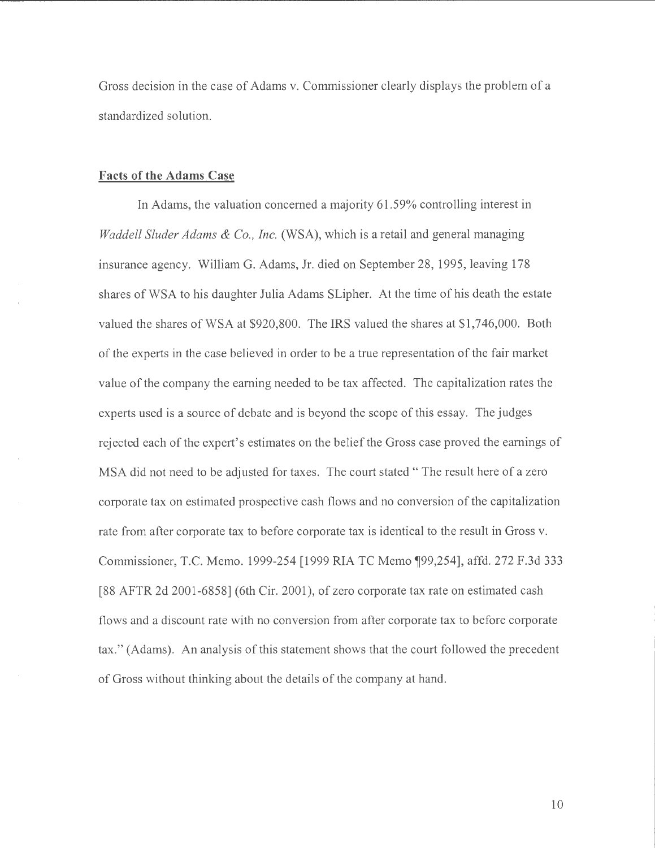Gross decision in the case of Adams v. Commissioner clearly displays the problem of a standardized solution.

#### **Facts of the Adams Case**

In Adams, the valuation concerned a majority 61.59% controlling interest in *Waddell Sluder Adams & Co., Inc.* (WSA), which is a retail and general managing insurance agency. William G. Adams, Jr. died on September 28, 1995, leaving 178 shares of WSA to his daughter Julia Adams SLipher. At the time of his death the estate valued the shares of WSA at \$920,800. The IRS valued the shares at \$1,746,000. Both of the experts in the case believed in order to be a true representation of the fair market value of the company the earning needed to be tax affected. The capitalization rates the experts used is a source of debate and is beyond the scope of this essay. The judges rejected each of the expert's estimates on the belief the Gross case proved the earnings of MSA did not need to be adjusted for taxes. The court stated " The result here of a zero corporate tax on estimated prospective cash flows and no conversion of the capitalization rate from after corporate tax to before corporate tax is identical to the result in Gross v. Commissioner, T.C. Memo. 1999-254 [1999 RIA TC Memo ¶99,254], affd. 272 F.3d 333 [88 AFTR 2d 2001-6858] (6th Cir. 2001), of zero corporate tax rate on estimated cash flows and a discount rate with no conversion from after corporate tax to before corporate tax." (Adams). An analysis of this statement shows that the court followed the precedent of Gross without thinking about the details of the company at hand.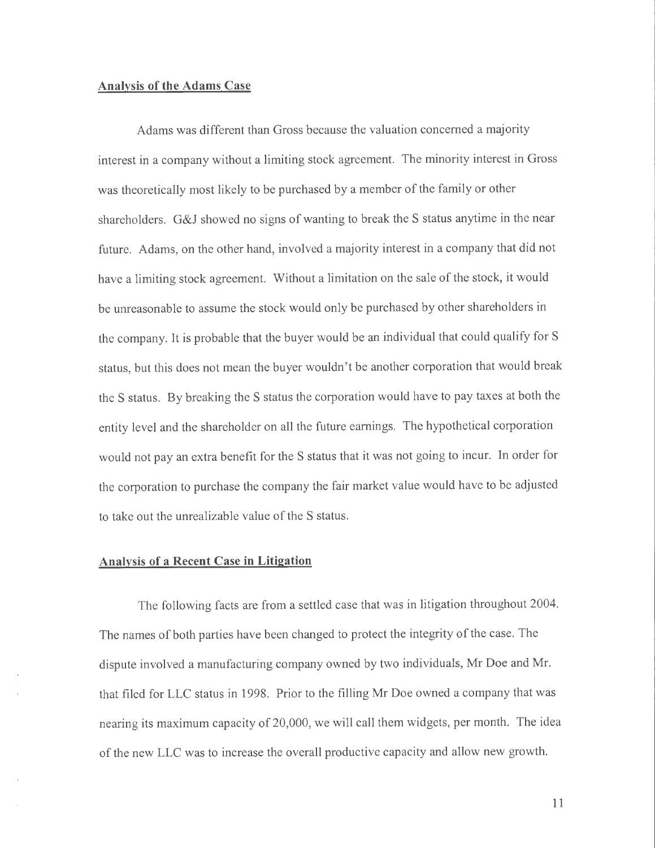#### **Analysis of the Adams Case**

Adams was different than Gross because the valuation concerned a majority interest in a company without a limiting stock agreement. The minority interest in Gross was theoretically most likely to be purchased by a member of the family or other shareholders. G&J showed no signs of wanting to break the S status anytime in the near future. Adams, on the other hand, involved a majority interest in a company that did not have a limiting stock agreement. Without a limitation on the sale of the stock, it would be unreasonable to assume the stock would only be purchased by other shareholders in the company. It is probable that the buyer would be an individual that could qualify for S status, but this does not mean the buyer wouldn't be another corporation that would break the S status. By breaking the S status the corporation would have to pay taxes at both the entity level and the shareholder on all the future earnings. The hypothetical corporation would not pay an extra benefit for the S status that it was not going to incur. In order for the corporation to purchase the company the fair market value would have to be adjusted to take out the unrealizable value of the S status.

#### **Analysis of a Recent Case in Litigation**

The following facts are from a settled case that was in litigation throughout 2004. The names of both parties have been changed to protect the integrity of the case. The dispute involved a manufacturing company owned by two individuals, Mr Doe and Mr. that filed for LLC status in 1998. Prior to the filling Mr Doe owned a company that was nearing its maximum capacity of 20,000, we will call them widgets, per month. The idea of the new LLC was to increase the overall productive capacity and allow new growth.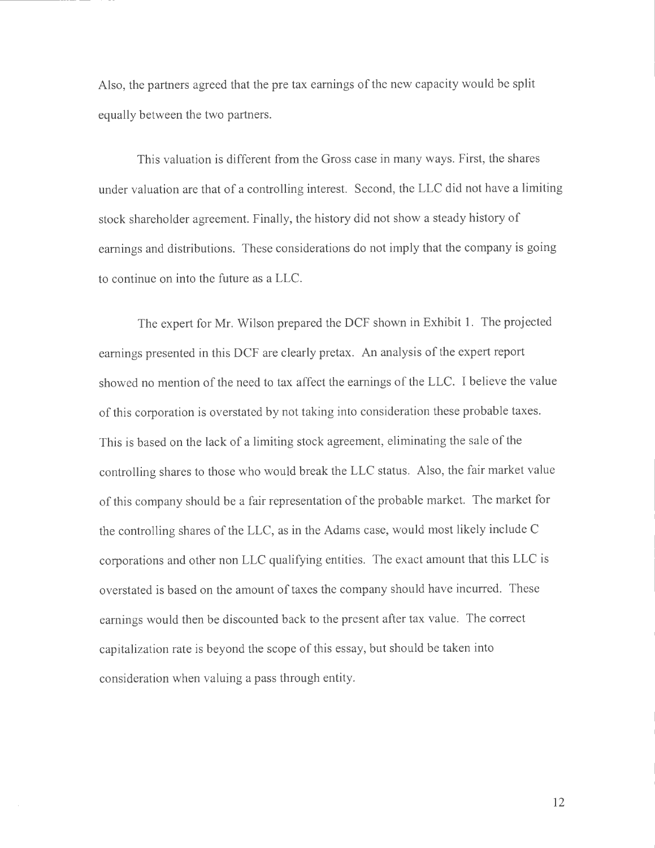Also, the partners agreed that the pre tax earnings of the new capacity would be split equally between the two partners.

This valuation is different from the Gross case in many ways. First, the shares under valuation are that of a controlling interest. Second, the LLC did not have a limiting stock shareholder agreement. Finally, the history did not show a steady history of earnings and distributions. These considerations do not imply that the company is going to continue on into the future as a LLC.

The expert for Mr. Wilson prepared the DCF shown in Exhibit 1. The projected earnings presented in this DCF are clearly pretax. An analysis of the expert report showed no mention of the need to tax affect the earnings of the LLC. I believe the value of this corporation is overstated by not taking into consideration these probable taxes. This is based on the lack of a limiting stock agreement, eliminating the sale of the controlling shares to those who would break the LLC status. Also, the fair market value of this company should be a fair representation of the probable market. The market for the controlling shares of the LLC, as in the Adams case, would most likely include C corporations and other non LLC qualifying entities. The exact amount that this LLC is overstated is based on the amount of taxes the company should have incurred. These earnings would then be discounted back to the present after tax value. The correct capitalization rate is beyond the scope of this essay, but should be taken into consideration when valuing a pass through entity.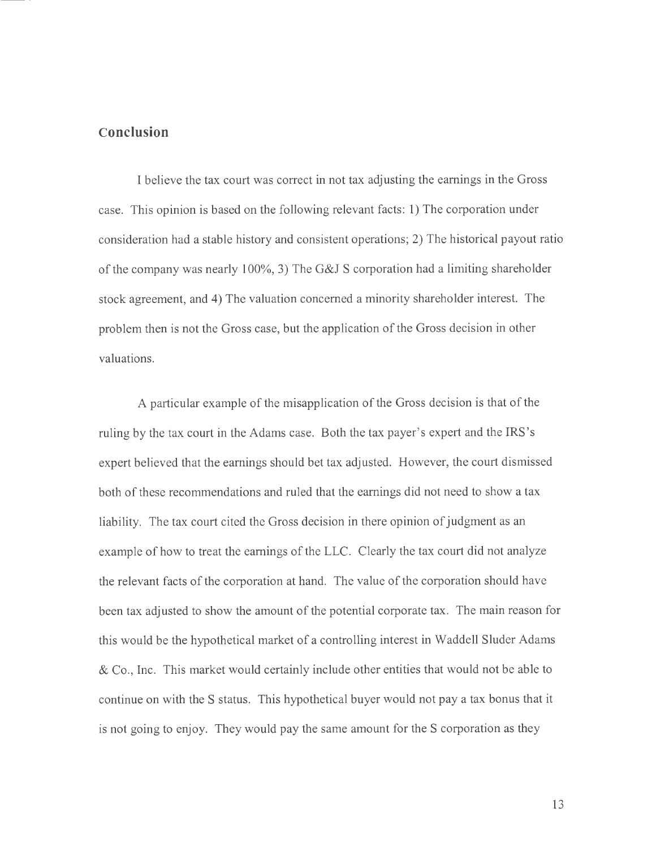#### **Conclusion**

I believe the tax court was correct in not tax adjusting the earnings in the Gross case. This opinion is based on the following relevant facts: 1) The corporation under consideration had a stable history and consistent operations; 2) The historical payout ratio of the company was nearly 100%, 3) The G&J S corporation had a limiting shareholder stock agreement, and 4) The valuation concerned a minority shareholder interest. The problem then is not the Gross case, but the application of the Gross decision in other valuations.

A particular example of the misapplication of the Gross decision is that of the ruling by the tax court in the Adams case. Both the tax payer's expert and the IRS's expert believed that the earnings should bet tax adjusted. However, the court dismissed both of these recommendations and ruled that the earnings did not need to show a tax liability. The tax court cited the Gross decision in there opinion of judgment as an example of how to treat the earnings of the LLC. Clearly the tax court did not analyze the relevant facts of the corporation at hand. The value of the corporation should have been tax adjusted to show the amount of the potential corporate tax. The main reason for this would be the hypothetical market of a controlling interest in Waddell Sluder Adams & Co., Inc. This market would certainly include other entities that would not be able to continue on with the S status. This hypothetical buyer would not pay a tax bonus that it is not going to enjoy. They would pay the same amount for the S corporation as they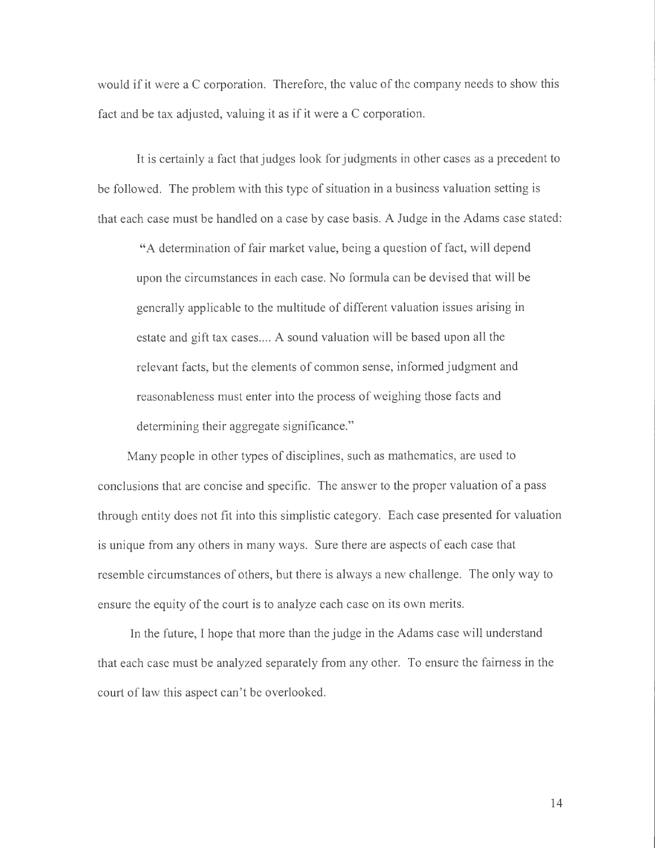would if it were a C corporation. Therefore, the value of the company needs to show this fact and be tax adjusted, valuing it as if it were a C corporation.

It is certainly a fact that judges look for judgments in other cases as a precedent to be followed. The problem with this type of situation in a business valuation setting is that each case must be handled on a case by case basis. A Judge in the Adams case stated:

"A determination of fair market value, being a question of fact, will depend upon the circumstances in each case. No formula can be devised that will be generally applicable to the multitude of different valuation issues arising in estate and gift tax cases.... A sound valuation will be based upon all the relevant facts, but the elements of common sense, informed judgment and reasonableness must enter into the process of weighing those facts and determining their aggregate significance."

Many people in other types of disciplines, such as mathematics, are used to conclusions that are concise and specific. The answer to the proper valuation of a pass through entity does not fit into this simplistic category. Each case presented for valuation is unique from any others in many ways. Sure there are aspects of each case that resemble circumstances of others, but there is always a new challenge. The only way to ensure the equity of the court is to analyze each case on its own merits.

In the future, I hope that more than the judge in the Adams case will understand that each case must be analyzed separately from any other. To ensure the fairness in the court of law this aspect can't be overlooked.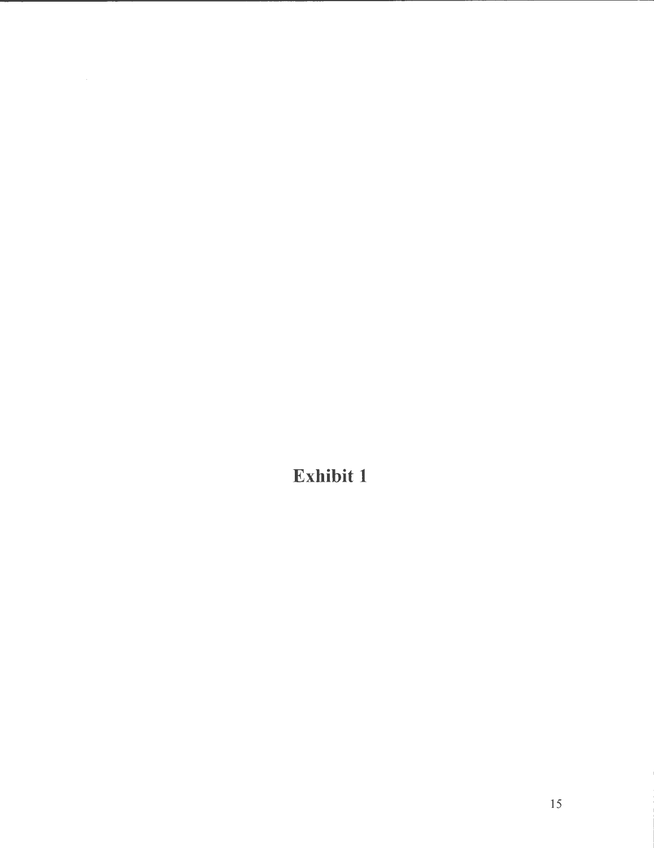**Exhibit 1**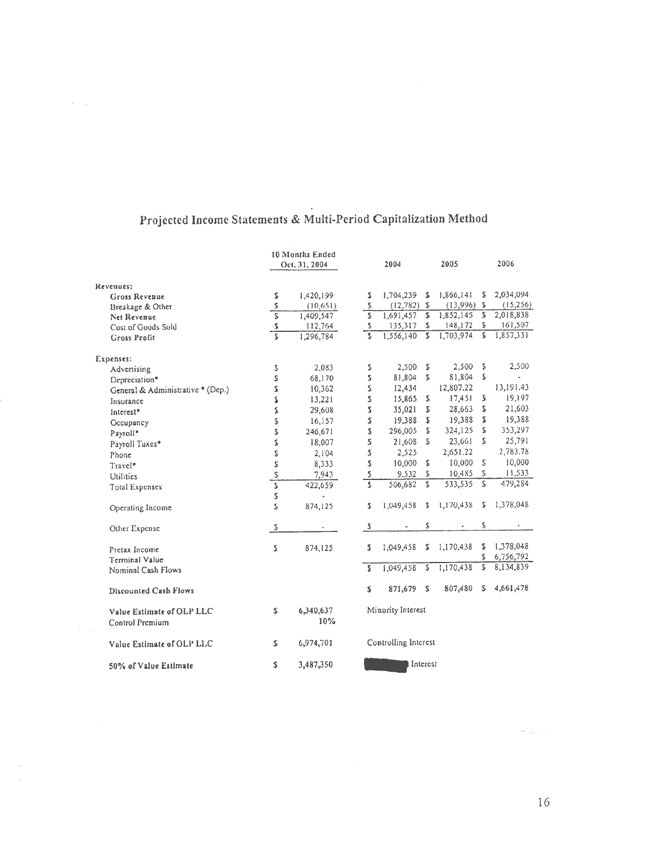|                                              | 10 Months Ended<br>Oct. 31, 2004 |                  | 2004                    |           | 2005           |           |    | 2006           |  |
|----------------------------------------------|----------------------------------|------------------|-------------------------|-----------|----------------|-----------|----|----------------|--|
| Revenues:                                    |                                  |                  |                         |           |                |           |    |                |  |
| Gross Revenue                                | S                                | 1,420,199        | s                       | 1,704,239 | s              | 1,866,141 | \$ | 2,034,094      |  |
| Breakage & Other                             | \$                               | (10,651)         | $\mathsf S$             | (12,782)  | $\mathfrak{D}$ | (13,996)  | s  | (15,256)       |  |
| <b>Net Revenue</b>                           | $\overline{\mathsf{s}}$          | 1,409,547        | $\overline{\mathsf{S}}$ | 1,691,457 | \$             | 1,852,145 | S  | 2,018,838      |  |
| Cost of Goods Sold                           | ${\sf S}$                        | 112,764          | \$                      | 135,317   | \$             | 148, 172  | \$ | 161,507        |  |
| <b>Gross Profit</b>                          | 5                                | 1,296,784        | Ï\$                     | 1,556,140 | S              | 1,703,974 | S  | 1,857,331      |  |
| Expenses:                                    |                                  |                  |                         |           |                |           |    |                |  |
| Advertising                                  | \$                               | 2,083            | s                       | 2.500     | S              | 2,500     | \$ | 2,500          |  |
| Depreciation <sup>*</sup>                    | S                                | 68,170           | Z.                      | 81,804    | S              | 81,804    | \$ | $\blacksquare$ |  |
| General & Administrative * (Dep.)            | \$                               | 10,362           | 2                       | 12,434    |                | 12,807.22 |    | 13,191.43      |  |
| Insurance                                    | 2                                | 13,221           | S                       | 15,865    | S              | 17,451    | S  | 19,197         |  |
| Interest <sup>*</sup>                        | \$                               | 29,608           | Z.                      | 35,021    | S              | 28,663    | s  | 21,603         |  |
| Occupancy                                    | \$                               | 16,157           | 2                       | 19,388    | s              | 19,388    | S  | 19,388         |  |
| Payroll*                                     | \$                               | 246,671          | \$                      | 296,005   | S              | 324,125   | S  | 353,297        |  |
| Payroll Tuxes*                               | \$                               | 18,007           | S                       | 21,608    | 2              | 23,661    | S  | 25,791         |  |
| Phone                                        | \$                               | 2,104            | S                       | 2,525     |                | 2,651.22  |    | 2,783.78       |  |
| Travel*                                      | S                                | 8,333            | S                       | 10,000    | S              | 10,000    | S  | 10,000         |  |
| Utilities                                    |                                  | 7,943            | $\overline{\mathbf{S}}$ | 9.532     | Z.             | 10,485    | S  | 11,533         |  |
| <b>Total Expenses</b>                        | $rac{s}{s}$                      | 422,659          | 3                       | 506,682   | $\mathsf{s}$   | 533,535   | S  | 479,284        |  |
|                                              | s                                |                  |                         |           |                |           |    |                |  |
| Operating Income                             | S                                | 874,125          | s.                      | 1,049,458 | S.             | 1,170,438 | s  | 1,378,048      |  |
| Other Expense                                | $\mathsf{S}$                     |                  | $\pmb{\mathbb{S}}$      |           | S              |           | Ż. | ۰              |  |
| Pretax Income                                | 2                                | 874,125          | Z                       | 1.049,458 | s              | 1,170,438 | S  | 1,378,048      |  |
| Terminal Value                               |                                  |                  |                         |           |                |           | s  | 6,756,792      |  |
| Nominal Cash Flows                           |                                  |                  | $\overline{\mathbf{S}}$ | 1,049,458 | \$             | 1,170,438 | S  | 8,134,839      |  |
| <b>Discounted Cash Flows</b>                 |                                  |                  | s                       | 871,679   | -S             | 807,480   | S  | 4,661,478      |  |
| Value Estimate of OLP LLC<br>Control Premium | Z.                               | 6,340,637<br>10% | Minority Interest       |           |                |           |    |                |  |
| Value Estimate of OLP LLC                    | Z.                               | 6,974,701        | Controlling Interest    |           |                |           |    |                |  |
| 50% of Value Estimate                        | \$                               | 3,487,350        | Interest                |           |                |           |    |                |  |

# **Projected Income Statements** & **Multi-Period Capitalization Method**

 $\mathcal{A}=\mathcal{A}$  .

 $\sim$  8  $\mu_{\rm{max}}$